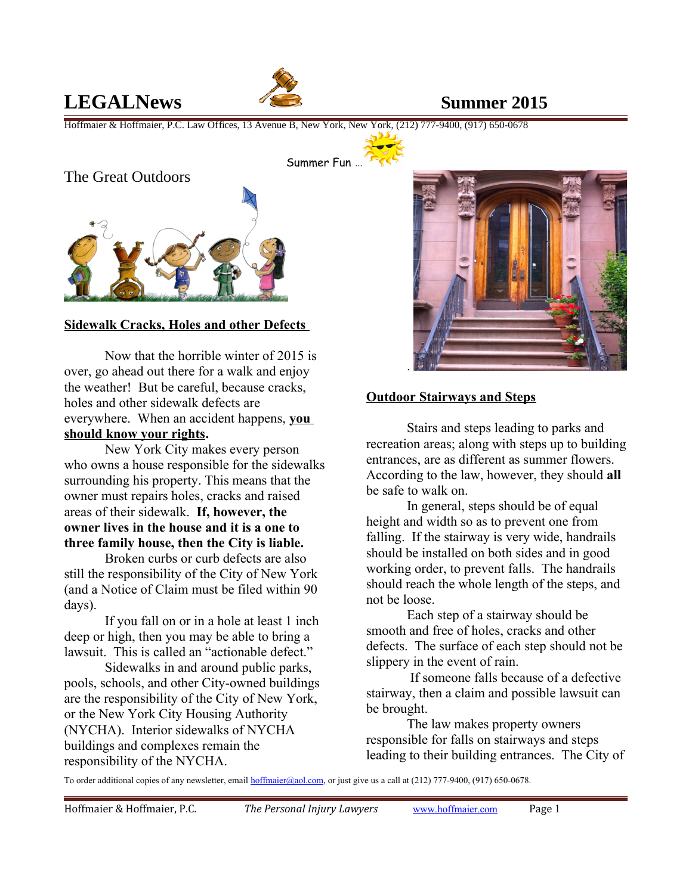# **LEGALNews Summer 2015**



Hoffmaier & Hoffmaier, P.C. Law Offices, 13 Avenue B, New York, New York, (212) 777-9400, (917) 650-0678



#### **Sidewalk Cracks, Holes and other Defects**

Now that the horrible winter of 2015 is over, go ahead out there for a walk and enjoy the weather! But be careful, because cracks, holes and other sidewalk defects are everywhere. When an accident happens, **you should know your rights.**

New York City makes every person who owns a house responsible for the sidewalks surrounding his property. This means that the owner must repairs holes, cracks and raised areas of their sidewalk. **If, however, the owner lives in the house and it is a one to three family house, then the City is liable.** 

Broken curbs or curb defects are also still the responsibility of the City of New York (and a Notice of Claim must be filed within 90 days).

If you fall on or in a hole at least 1 inch deep or high, then you may be able to bring a lawsuit. This is called an "actionable defect."

Sidewalks in and around public parks, pools, schools, and other City-owned buildings are the responsibility of the City of New York, or the New York City Housing Authority (NYCHA). Interior sidewalks of NYCHA buildings and complexes remain the responsibility of the NYCHA.



### **Outdoor Stairways and Steps**

Stairs and steps leading to parks and recreation areas; along with steps up to building entrances, are as different as summer flowers. According to the law, however, they should **all** be safe to walk on.

In general, steps should be of equal height and width so as to prevent one from falling. If the stairway is very wide, handrails should be installed on both sides and in good working order, to prevent falls. The handrails should reach the whole length of the steps, and not be loose.

Each step of a stairway should be smooth and free of holes, cracks and other defects. The surface of each step should not be slippery in the event of rain.

 If someone falls because of a defective stairway, then a claim and possible lawsuit can be brought.

The law makes property owners responsible for falls on stairways and steps leading to their building entrances. The City of

To order additional copies of any newsletter, email [hoffmaier@aol.com,](mailto:hoffmaier@aol.com) or just give us a call at (212) 777-9400, (917) 650-0678.